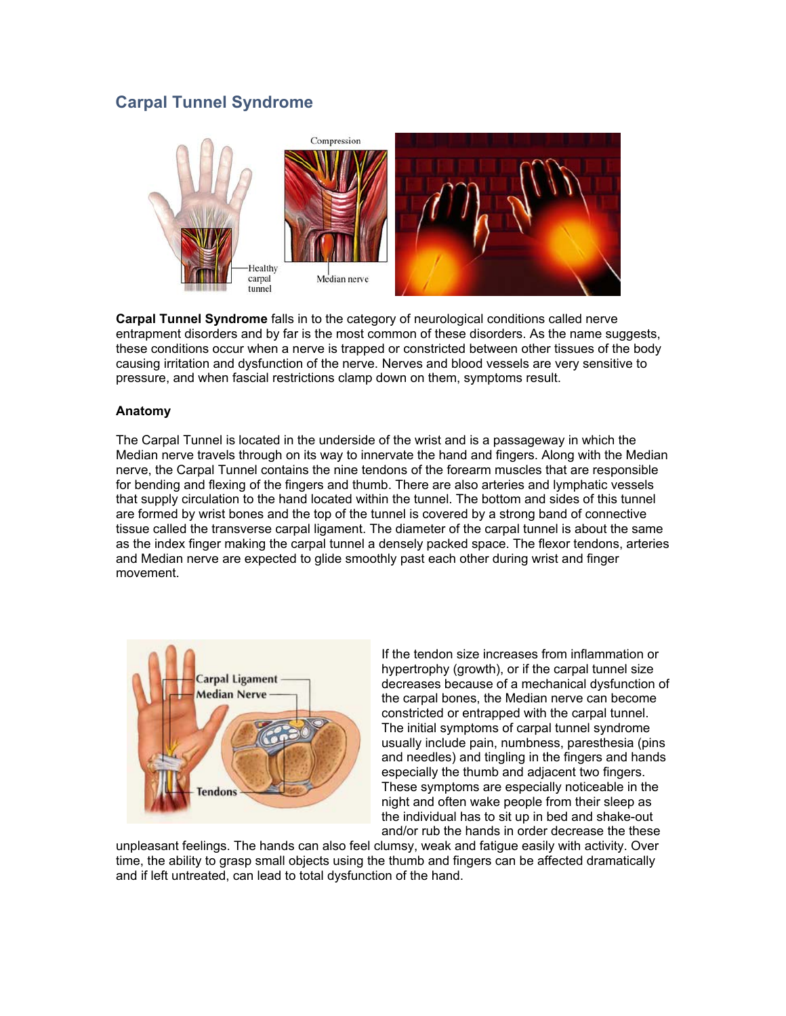## **Carpal Tunnel Syndrome**



**Carpal Tunnel Syndrome** falls in to the category of neurological conditions called nerve entrapment disorders and by far is the most common of these disorders. As the name suggests, these conditions occur when a nerve is trapped or constricted between other tissues of the body causing irritation and dysfunction of the nerve. Nerves and blood vessels are very sensitive to pressure, and when fascial restrictions clamp down on them, symptoms result.

## **Anatomy**

The Carpal Tunnel is located in the underside of the wrist and is a passageway in which the Median nerve travels through on its way to innervate the hand and fingers. Along with the Median nerve, the Carpal Tunnel contains the nine tendons of the forearm muscles that are responsible for bending and flexing of the fingers and thumb. There are also arteries and lymphatic vessels that supply circulation to the hand located within the tunnel. The bottom and sides of this tunnel are formed by wrist bones and the top of the tunnel is covered by a strong band of connective tissue called the transverse carpal ligament. The diameter of the carpal tunnel is about the same as the index finger making the carpal tunnel a densely packed space. The flexor tendons, arteries and Median nerve are expected to glide smoothly past each other during wrist and finger movement.



If the tendon size increases from inflammation or hypertrophy (growth), or if the carpal tunnel size decreases because of a mechanical dysfunction of the carpal bones, the Median nerve can become constricted or entrapped with the carpal tunnel. The initial symptoms of carpal tunnel syndrome usually include pain, numbness, paresthesia (pins and needles) and tingling in the fingers and hands especially the thumb and adjacent two fingers. These symptoms are especially noticeable in the night and often wake people from their sleep as the individual has to sit up in bed and shake-out and/or rub the hands in order decrease the these

unpleasant feelings. The hands can also feel clumsy, weak and fatigue easily with activity. Over time, the ability to grasp small objects using the thumb and fingers can be affected dramatically and if left untreated, can lead to total dysfunction of the hand.